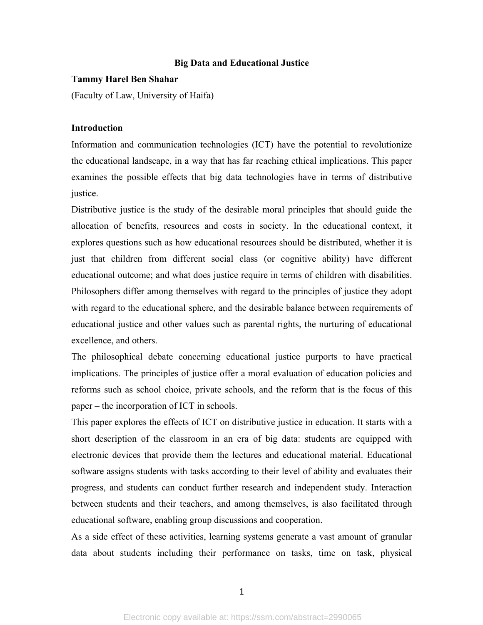# **Big Data and Educational Justice**

#### **Tammy Harel Ben Shahar**

(Faculty of Law, University of Haifa)

# **Introduction**

Information and communication technologies (ICT) have the potential to revolutionize the educational landscape, in a way that has far reaching ethical implications. This paper examines the possible effects that big data technologies have in terms of distributive justice.

Distributive justice is the study of the desirable moral principles that should guide the allocation of benefits, resources and costs in society. In the educational context, it explores questions such as how educational resources should be distributed, whether it is just that children from different social class (or cognitive ability) have different educational outcome; and what does justice require in terms of children with disabilities. Philosophers differ among themselves with regard to the principles of justice they adopt with regard to the educational sphere, and the desirable balance between requirements of educational justice and other values such as parental rights, the nurturing of educational excellence, and others.

The philosophical debate concerning educational justice purports to have practical implications. The principles of justice offer a moral evaluation of education policies and reforms such as school choice, private schools, and the reform that is the focus of this paper – the incorporation of ICT in schools.

This paper explores the effects of ICT on distributive justice in education. It starts with a short description of the classroom in an era of big data: students are equipped with electronic devices that provide them the lectures and educational material. Educational software assigns students with tasks according to their level of ability and evaluates their progress, and students can conduct further research and independent study. Interaction between students and their teachers, and among themselves, is also facilitated through educational software, enabling group discussions and cooperation.

As a side effect of these activities, learning systems generate a vast amount of granular data about students including their performance on tasks, time on task, physical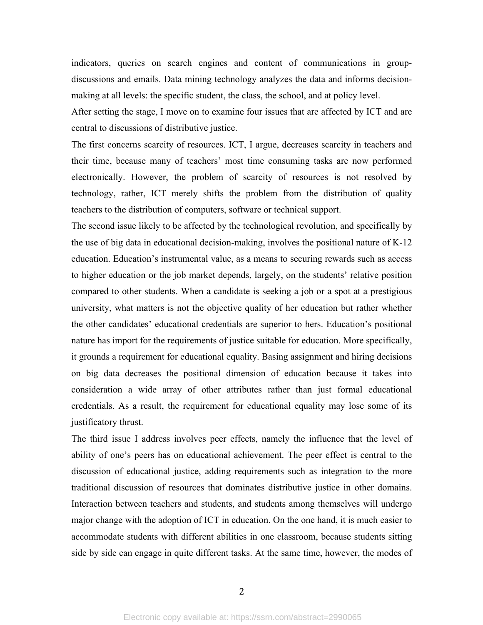indicators, queries on search engines and content of communications in groupdiscussions and emails. Data mining technology analyzes the data and informs decisionmaking at all levels: the specific student, the class, the school, and at policy level.

After setting the stage, I move on to examine four issues that are affected by ICT and are central to discussions of distributive justice.

The first concerns scarcity of resources. ICT, I argue, decreases scarcity in teachers and their time, because many of teachers' most time consuming tasks are now performed electronically. However, the problem of scarcity of resources is not resolved by technology, rather, ICT merely shifts the problem from the distribution of quality teachers to the distribution of computers, software or technical support.

The second issue likely to be affected by the technological revolution, and specifically by the use of big data in educational decision-making, involves the positional nature of K-12 education. Education's instrumental value, as a means to securing rewards such as access to higher education or the job market depends, largely, on the students' relative position compared to other students. When a candidate is seeking a job or a spot at a prestigious university, what matters is not the objective quality of her education but rather whether the other candidates' educational credentials are superior to hers. Education's positional nature has import for the requirements of justice suitable for education. More specifically, it grounds a requirement for educational equality. Basing assignment and hiring decisions on big data decreases the positional dimension of education because it takes into consideration a wide array of other attributes rather than just formal educational credentials. As a result, the requirement for educational equality may lose some of its justificatory thrust.

The third issue I address involves peer effects, namely the influence that the level of ability of one's peers has on educational achievement. The peer effect is central to the discussion of educational justice, adding requirements such as integration to the more traditional discussion of resources that dominates distributive justice in other domains. Interaction between teachers and students, and students among themselves will undergo major change with the adoption of ICT in education. On the one hand, it is much easier to accommodate students with different abilities in one classroom, because students sitting side by side can engage in quite different tasks. At the same time, however, the modes of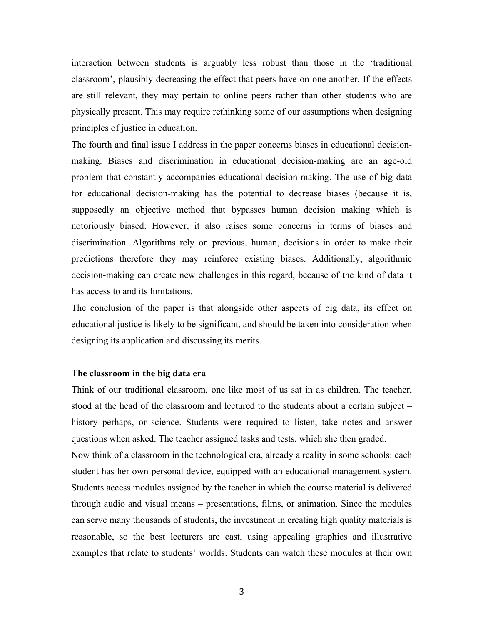interaction between students is arguably less robust than those in the 'traditional classroom', plausibly decreasing the effect that peers have on one another. If the effects are still relevant, they may pertain to online peers rather than other students who are physically present. This may require rethinking some of our assumptions when designing principles of justice in education.

The fourth and final issue I address in the paper concerns biases in educational decisionmaking. Biases and discrimination in educational decision-making are an age-old problem that constantly accompanies educational decision-making. The use of big data for educational decision-making has the potential to decrease biases (because it is, supposedly an objective method that bypasses human decision making which is notoriously biased. However, it also raises some concerns in terms of biases and discrimination. Algorithms rely on previous, human, decisions in order to make their predictions therefore they may reinforce existing biases. Additionally, algorithmic decision-making can create new challenges in this regard, because of the kind of data it has access to and its limitations.

The conclusion of the paper is that alongside other aspects of big data, its effect on educational justice is likely to be significant, and should be taken into consideration when designing its application and discussing its merits.

# **The classroom in the big data era**

Think of our traditional classroom, one like most of us sat in as children. The teacher, stood at the head of the classroom and lectured to the students about a certain subject – history perhaps, or science. Students were required to listen, take notes and answer questions when asked. The teacher assigned tasks and tests, which she then graded. Now think of a classroom in the technological era, already a reality in some schools: each student has her own personal device, equipped with an educational management system. Students access modules assigned by the teacher in which the course material is delivered through audio and visual means – presentations, films, or animation. Since the modules can serve many thousands of students, the investment in creating high quality materials is reasonable, so the best lecturers are cast, using appealing graphics and illustrative examples that relate to students' worlds. Students can watch these modules at their own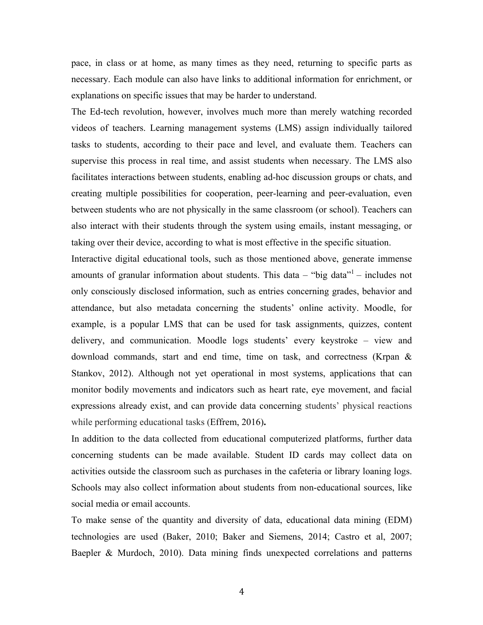pace, in class or at home, as many times as they need, returning to specific parts as necessary. Each module can also have links to additional information for enrichment, or explanations on specific issues that may be harder to understand.

The Ed-tech revolution, however, involves much more than merely watching recorded videos of teachers. Learning management systems (LMS) assign individually tailored tasks to students, according to their pace and level, and evaluate them. Teachers can supervise this process in real time, and assist students when necessary. The LMS also facilitates interactions between students, enabling ad-hoc discussion groups or chats, and creating multiple possibilities for cooperation, peer-learning and peer-evaluation, even between students who are not physically in the same classroom (or school). Teachers can also interact with their students through the system using emails, instant messaging, or taking over their device, according to what is most effective in the specific situation.

Interactive digital educational tools, such as those mentioned above, generate immense amounts of granular information about students. This data – "big data"<sup>1</sup> – includes not only consciously disclosed information, such as entries concerning grades, behavior and attendance, but also metadata concerning the students' online activity. Moodle, for example, is a popular LMS that can be used for task assignments, quizzes, content delivery, and communication. Moodle logs students' every keystroke – view and download commands, start and end time, time on task, and correctness (Krpan & Stankov, 2012). Although not yet operational in most systems, applications that can monitor bodily movements and indicators such as heart rate, eye movement, and facial expressions already exist, and can provide data concerning students' physical reactions while performing educational tasks (Effrem, 2016)**.**

In addition to the data collected from educational computerized platforms, further data concerning students can be made available. Student ID cards may collect data on activities outside the classroom such as purchases in the cafeteria or library loaning logs. Schools may also collect information about students from non-educational sources, like social media or email accounts.

To make sense of the quantity and diversity of data, educational data mining (EDM) technologies are used (Baker, 2010; Baker and Siemens, 2014; Castro et al, 2007; Baepler & Murdoch, 2010). Data mining finds unexpected correlations and patterns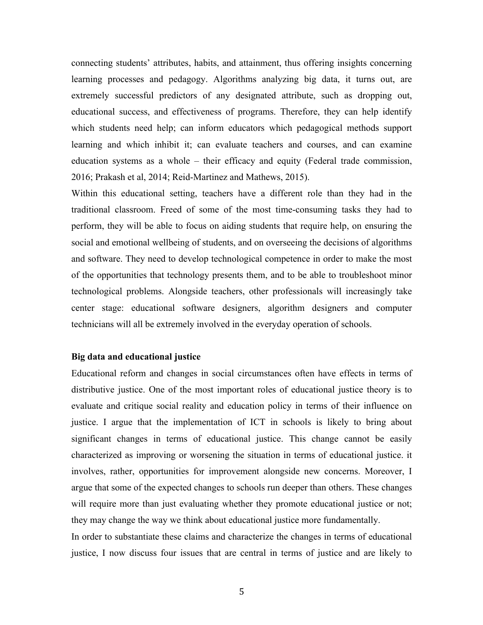connecting students' attributes, habits, and attainment, thus offering insights concerning learning processes and pedagogy. Algorithms analyzing big data, it turns out, are extremely successful predictors of any designated attribute, such as dropping out, educational success, and effectiveness of programs. Therefore, they can help identify which students need help; can inform educators which pedagogical methods support learning and which inhibit it; can evaluate teachers and courses, and can examine education systems as a whole – their efficacy and equity (Federal trade commission, 2016; Prakash et al, 2014; Reid-Martinez and Mathews, 2015).

Within this educational setting, teachers have a different role than they had in the traditional classroom. Freed of some of the most time-consuming tasks they had to perform, they will be able to focus on aiding students that require help, on ensuring the social and emotional wellbeing of students, and on overseeing the decisions of algorithms and software. They need to develop technological competence in order to make the most of the opportunities that technology presents them, and to be able to troubleshoot minor technological problems. Alongside teachers, other professionals will increasingly take center stage: educational software designers, algorithm designers and computer technicians will all be extremely involved in the everyday operation of schools.

# **Big data and educational justice**

Educational reform and changes in social circumstances often have effects in terms of distributive justice. One of the most important roles of educational justice theory is to evaluate and critique social reality and education policy in terms of their influence on justice. I argue that the implementation of ICT in schools is likely to bring about significant changes in terms of educational justice. This change cannot be easily characterized as improving or worsening the situation in terms of educational justice. it involves, rather, opportunities for improvement alongside new concerns. Moreover, I argue that some of the expected changes to schools run deeper than others. These changes will require more than just evaluating whether they promote educational justice or not; they may change the way we think about educational justice more fundamentally.

In order to substantiate these claims and characterize the changes in terms of educational justice, I now discuss four issues that are central in terms of justice and are likely to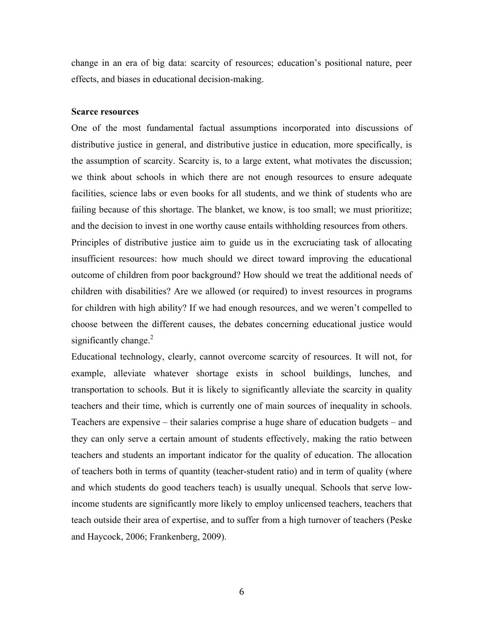change in an era of big data: scarcity of resources; education's positional nature, peer effects, and biases in educational decision-making.

#### **Scarce resources**

One of the most fundamental factual assumptions incorporated into discussions of distributive justice in general, and distributive justice in education, more specifically, is the assumption of scarcity. Scarcity is, to a large extent, what motivates the discussion; we think about schools in which there are not enough resources to ensure adequate facilities, science labs or even books for all students, and we think of students who are failing because of this shortage. The blanket, we know, is too small; we must prioritize; and the decision to invest in one worthy cause entails withholding resources from others. Principles of distributive justice aim to guide us in the excruciating task of allocating insufficient resources: how much should we direct toward improving the educational outcome of children from poor background? How should we treat the additional needs of children with disabilities? Are we allowed (or required) to invest resources in programs for children with high ability? If we had enough resources, and we weren't compelled to choose between the different causes, the debates concerning educational justice would significantly change. $2$ 

Educational technology, clearly, cannot overcome scarcity of resources. It will not, for example, alleviate whatever shortage exists in school buildings, lunches, and transportation to schools. But it is likely to significantly alleviate the scarcity in quality teachers and their time, which is currently one of main sources of inequality in schools. Teachers are expensive – their salaries comprise a huge share of education budgets – and they can only serve a certain amount of students effectively, making the ratio between teachers and students an important indicator for the quality of education. The allocation of teachers both in terms of quantity (teacher-student ratio) and in term of quality (where and which students do good teachers teach) is usually unequal. Schools that serve lowincome students are significantly more likely to employ unlicensed teachers, teachers that teach outside their area of expertise, and to suffer from a high turnover of teachers (Peske and Haycock, 2006; Frankenberg, 2009).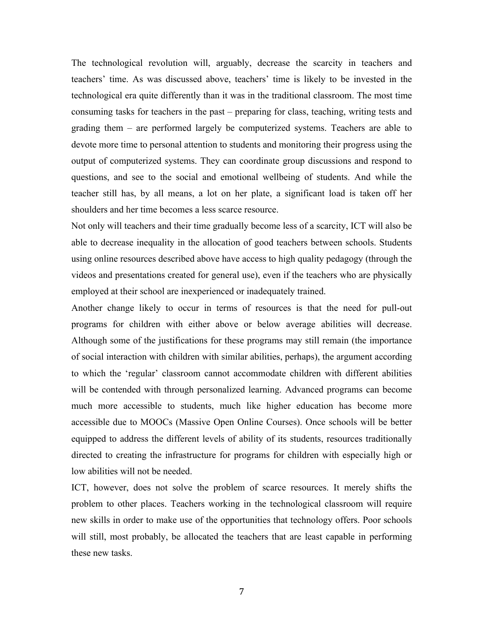The technological revolution will, arguably, decrease the scarcity in teachers and teachers' time. As was discussed above, teachers' time is likely to be invested in the technological era quite differently than it was in the traditional classroom. The most time consuming tasks for teachers in the past – preparing for class, teaching, writing tests and grading them – are performed largely be computerized systems. Teachers are able to devote more time to personal attention to students and monitoring their progress using the output of computerized systems. They can coordinate group discussions and respond to questions, and see to the social and emotional wellbeing of students. And while the teacher still has, by all means, a lot on her plate, a significant load is taken off her shoulders and her time becomes a less scarce resource.

Not only will teachers and their time gradually become less of a scarcity, ICT will also be able to decrease inequality in the allocation of good teachers between schools. Students using online resources described above have access to high quality pedagogy (through the videos and presentations created for general use), even if the teachers who are physically employed at their school are inexperienced or inadequately trained.

Another change likely to occur in terms of resources is that the need for pull-out programs for children with either above or below average abilities will decrease. Although some of the justifications for these programs may still remain (the importance of social interaction with children with similar abilities, perhaps), the argument according to which the 'regular' classroom cannot accommodate children with different abilities will be contended with through personalized learning. Advanced programs can become much more accessible to students, much like higher education has become more accessible due to MOOCs (Massive Open Online Courses). Once schools will be better equipped to address the different levels of ability of its students, resources traditionally directed to creating the infrastructure for programs for children with especially high or low abilities will not be needed.

ICT, however, does not solve the problem of scarce resources. It merely shifts the problem to other places. Teachers working in the technological classroom will require new skills in order to make use of the opportunities that technology offers. Poor schools will still, most probably, be allocated the teachers that are least capable in performing these new tasks.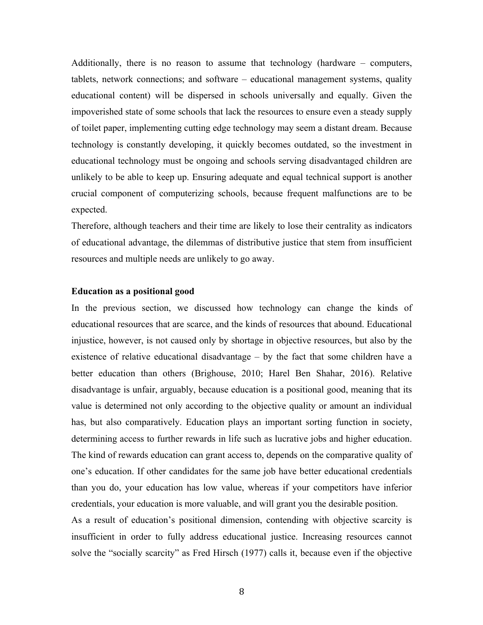Additionally, there is no reason to assume that technology (hardware – computers, tablets, network connections; and software – educational management systems, quality educational content) will be dispersed in schools universally and equally. Given the impoverished state of some schools that lack the resources to ensure even a steady supply of toilet paper, implementing cutting edge technology may seem a distant dream. Because technology is constantly developing, it quickly becomes outdated, so the investment in educational technology must be ongoing and schools serving disadvantaged children are unlikely to be able to keep up. Ensuring adequate and equal technical support is another crucial component of computerizing schools, because frequent malfunctions are to be expected.

Therefore, although teachers and their time are likely to lose their centrality as indicators of educational advantage, the dilemmas of distributive justice that stem from insufficient resources and multiple needs are unlikely to go away.

#### **Education as a positional good**

In the previous section, we discussed how technology can change the kinds of educational resources that are scarce, and the kinds of resources that abound. Educational injustice, however, is not caused only by shortage in objective resources, but also by the existence of relative educational disadvantage – by the fact that some children have a better education than others (Brighouse, 2010; Harel Ben Shahar, 2016). Relative disadvantage is unfair, arguably, because education is a positional good, meaning that its value is determined not only according to the objective quality or amount an individual has, but also comparatively. Education plays an important sorting function in society, determining access to further rewards in life such as lucrative jobs and higher education. The kind of rewards education can grant access to, depends on the comparative quality of one's education. If other candidates for the same job have better educational credentials than you do, your education has low value, whereas if your competitors have inferior credentials, your education is more valuable, and will grant you the desirable position.

As a result of education's positional dimension, contending with objective scarcity is insufficient in order to fully address educational justice. Increasing resources cannot solve the "socially scarcity" as Fred Hirsch (1977) calls it, because even if the objective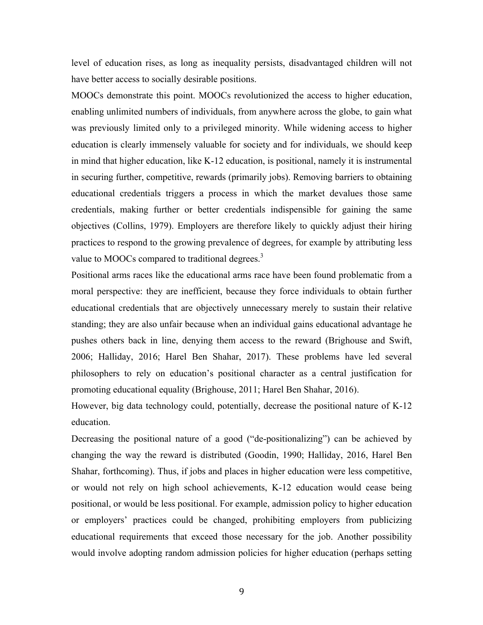level of education rises, as long as inequality persists, disadvantaged children will not have better access to socially desirable positions.

MOOCs demonstrate this point. MOOCs revolutionized the access to higher education, enabling unlimited numbers of individuals, from anywhere across the globe, to gain what was previously limited only to a privileged minority. While widening access to higher education is clearly immensely valuable for society and for individuals, we should keep in mind that higher education, like K-12 education, is positional, namely it is instrumental in securing further, competitive, rewards (primarily jobs). Removing barriers to obtaining educational credentials triggers a process in which the market devalues those same credentials, making further or better credentials indispensible for gaining the same objectives (Collins, 1979). Employers are therefore likely to quickly adjust their hiring practices to respond to the growing prevalence of degrees, for example by attributing less value to MOOCs compared to traditional degrees.<sup>3</sup>

Positional arms races like the educational arms race have been found problematic from a moral perspective: they are inefficient, because they force individuals to obtain further educational credentials that are objectively unnecessary merely to sustain their relative standing; they are also unfair because when an individual gains educational advantage he pushes others back in line, denying them access to the reward (Brighouse and Swift, 2006; Halliday, 2016; Harel Ben Shahar, 2017). These problems have led several philosophers to rely on education's positional character as a central justification for promoting educational equality (Brighouse, 2011; Harel Ben Shahar, 2016).

However, big data technology could, potentially, decrease the positional nature of K-12 education.

Decreasing the positional nature of a good ("de-positionalizing") can be achieved by changing the way the reward is distributed (Goodin, 1990; Halliday, 2016, Harel Ben Shahar, forthcoming). Thus, if jobs and places in higher education were less competitive, or would not rely on high school achievements, K-12 education would cease being positional, or would be less positional. For example, admission policy to higher education or employers' practices could be changed, prohibiting employers from publicizing educational requirements that exceed those necessary for the job. Another possibility would involve adopting random admission policies for higher education (perhaps setting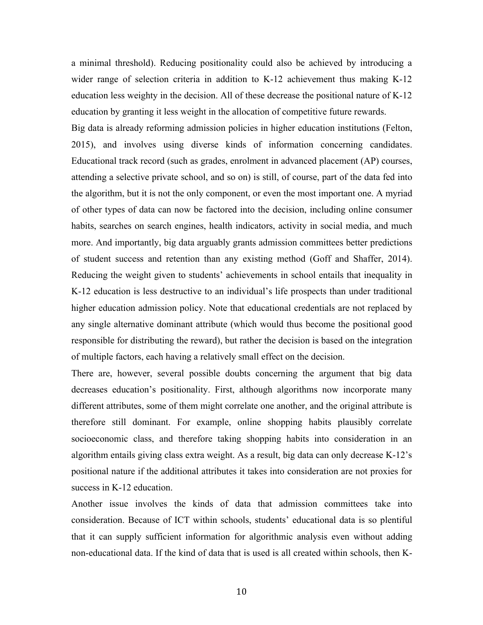a minimal threshold). Reducing positionality could also be achieved by introducing a wider range of selection criteria in addition to K-12 achievement thus making K-12 education less weighty in the decision. All of these decrease the positional nature of K-12 education by granting it less weight in the allocation of competitive future rewards.

Big data is already reforming admission policies in higher education institutions (Felton, 2015), and involves using diverse kinds of information concerning candidates. Educational track record (such as grades, enrolment in advanced placement (AP) courses, attending a selective private school, and so on) is still, of course, part of the data fed into the algorithm, but it is not the only component, or even the most important one. A myriad of other types of data can now be factored into the decision, including online consumer habits, searches on search engines, health indicators, activity in social media, and much more. And importantly, big data arguably grants admission committees better predictions of student success and retention than any existing method (Goff and Shaffer, 2014). Reducing the weight given to students' achievements in school entails that inequality in K-12 education is less destructive to an individual's life prospects than under traditional higher education admission policy. Note that educational credentials are not replaced by any single alternative dominant attribute (which would thus become the positional good responsible for distributing the reward), but rather the decision is based on the integration of multiple factors, each having a relatively small effect on the decision.

There are, however, several possible doubts concerning the argument that big data decreases education's positionality. First, although algorithms now incorporate many different attributes, some of them might correlate one another, and the original attribute is therefore still dominant. For example, online shopping habits plausibly correlate socioeconomic class, and therefore taking shopping habits into consideration in an algorithm entails giving class extra weight. As a result, big data can only decrease K-12's positional nature if the additional attributes it takes into consideration are not proxies for success in K-12 education.

Another issue involves the kinds of data that admission committees take into consideration. Because of ICT within schools, students' educational data is so plentiful that it can supply sufficient information for algorithmic analysis even without adding non-educational data. If the kind of data that is used is all created within schools, then K-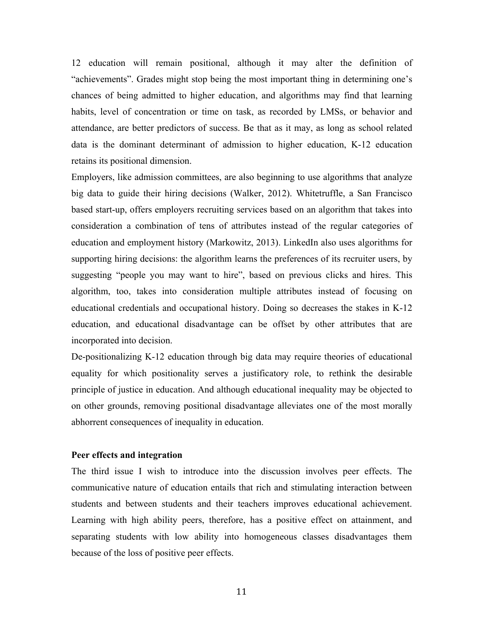12 education will remain positional, although it may alter the definition of "achievements". Grades might stop being the most important thing in determining one's chances of being admitted to higher education, and algorithms may find that learning habits, level of concentration or time on task, as recorded by LMSs, or behavior and attendance, are better predictors of success. Be that as it may, as long as school related data is the dominant determinant of admission to higher education, K-12 education retains its positional dimension.

Employers, like admission committees, are also beginning to use algorithms that analyze big data to guide their hiring decisions (Walker, 2012). Whitetruffle, a San Francisco based start-up, offers employers recruiting services based on an algorithm that takes into consideration a combination of tens of attributes instead of the regular categories of education and employment history (Markowitz, 2013). LinkedIn also uses algorithms for supporting hiring decisions: the algorithm learns the preferences of its recruiter users, by suggesting "people you may want to hire", based on previous clicks and hires. This algorithm, too, takes into consideration multiple attributes instead of focusing on educational credentials and occupational history. Doing so decreases the stakes in K-12 education, and educational disadvantage can be offset by other attributes that are incorporated into decision.

De-positionalizing K-12 education through big data may require theories of educational equality for which positionality serves a justificatory role, to rethink the desirable principle of justice in education. And although educational inequality may be objected to on other grounds, removing positional disadvantage alleviates one of the most morally abhorrent consequences of inequality in education.

# **Peer effects and integration**

The third issue I wish to introduce into the discussion involves peer effects. The communicative nature of education entails that rich and stimulating interaction between students and between students and their teachers improves educational achievement. Learning with high ability peers, therefore, has a positive effect on attainment, and separating students with low ability into homogeneous classes disadvantages them because of the loss of positive peer effects.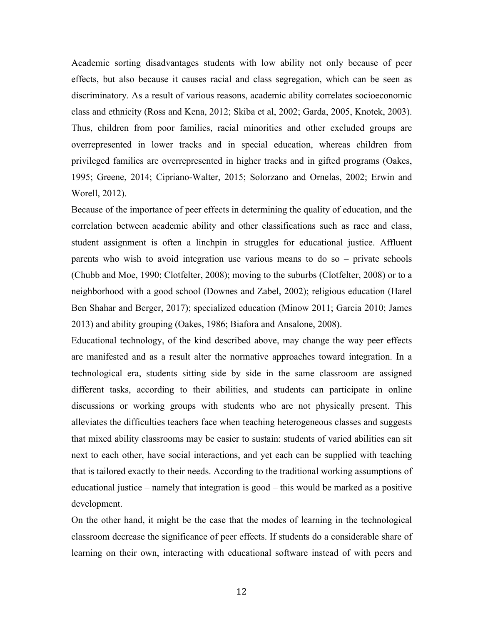Academic sorting disadvantages students with low ability not only because of peer effects, but also because it causes racial and class segregation, which can be seen as discriminatory. As a result of various reasons, academic ability correlates socioeconomic class and ethnicity (Ross and Kena, 2012; Skiba et al, 2002; Garda, 2005, Knotek, 2003). Thus, children from poor families, racial minorities and other excluded groups are overrepresented in lower tracks and in special education, whereas children from privileged families are overrepresented in higher tracks and in gifted programs (Oakes, 1995; Greene, 2014; Cipriano-Walter, 2015; Solorzano and Ornelas, 2002; Erwin and Worell, 2012).

Because of the importance of peer effects in determining the quality of education, and the correlation between academic ability and other classifications such as race and class, student assignment is often a linchpin in struggles for educational justice. Affluent parents who wish to avoid integration use various means to do so – private schools (Chubb and Moe, 1990; Clotfelter, 2008); moving to the suburbs (Clotfelter, 2008) or to a neighborhood with a good school (Downes and Zabel, 2002); religious education (Harel Ben Shahar and Berger, 2017); specialized education (Minow 2011; Garcia 2010; James 2013) and ability grouping (Oakes, 1986; Biafora and Ansalone, 2008).

Educational technology, of the kind described above, may change the way peer effects are manifested and as a result alter the normative approaches toward integration. In a technological era, students sitting side by side in the same classroom are assigned different tasks, according to their abilities, and students can participate in online discussions or working groups with students who are not physically present. This alleviates the difficulties teachers face when teaching heterogeneous classes and suggests that mixed ability classrooms may be easier to sustain: students of varied abilities can sit next to each other, have social interactions, and yet each can be supplied with teaching that is tailored exactly to their needs. According to the traditional working assumptions of educational justice – namely that integration is good – this would be marked as a positive development.

On the other hand, it might be the case that the modes of learning in the technological classroom decrease the significance of peer effects. If students do a considerable share of learning on their own, interacting with educational software instead of with peers and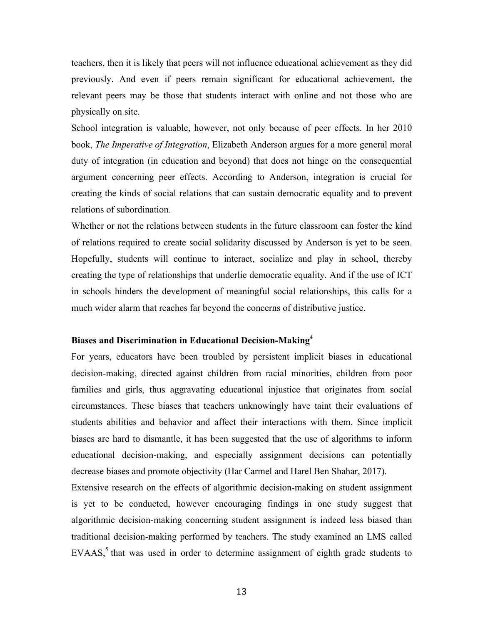teachers, then it is likely that peers will not influence educational achievement as they did previously. And even if peers remain significant for educational achievement, the relevant peers may be those that students interact with online and not those who are physically on site.

School integration is valuable, however, not only because of peer effects. In her 2010 book, *The Imperative of Integration*, Elizabeth Anderson argues for a more general moral duty of integration (in education and beyond) that does not hinge on the consequential argument concerning peer effects. According to Anderson, integration is crucial for creating the kinds of social relations that can sustain democratic equality and to prevent relations of subordination.

Whether or not the relations between students in the future classroom can foster the kind of relations required to create social solidarity discussed by Anderson is yet to be seen. Hopefully, students will continue to interact, socialize and play in school, thereby creating the type of relationships that underlie democratic equality. And if the use of ICT in schools hinders the development of meaningful social relationships, this calls for a much wider alarm that reaches far beyond the concerns of distributive justice.

# **Biases and Discrimination in Educational Decision-Making<sup>4</sup>**

For years, educators have been troubled by persistent implicit biases in educational decision-making, directed against children from racial minorities, children from poor families and girls, thus aggravating educational injustice that originates from social circumstances. These biases that teachers unknowingly have taint their evaluations of students abilities and behavior and affect their interactions with them. Since implicit biases are hard to dismantle, it has been suggested that the use of algorithms to inform educational decision-making, and especially assignment decisions can potentially decrease biases and promote objectivity (Har Carmel and Harel Ben Shahar, 2017).

Extensive research on the effects of algorithmic decision-making on student assignment is yet to be conducted, however encouraging findings in one study suggest that algorithmic decision-making concerning student assignment is indeed less biased than traditional decision-making performed by teachers. The study examined an LMS called EVAAS,<sup>5</sup> that was used in order to determine assignment of eighth grade students to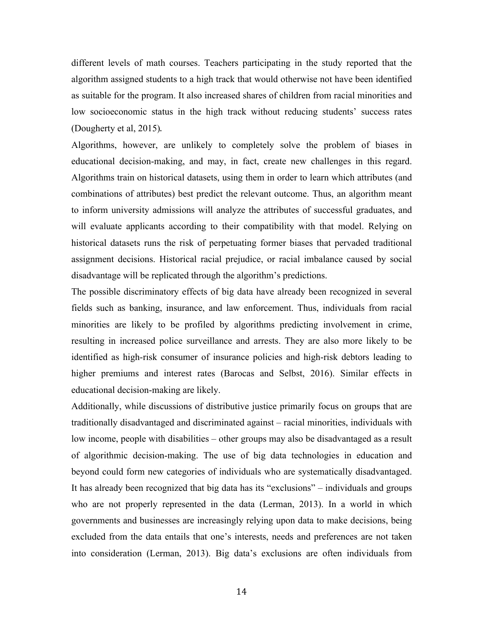different levels of math courses. Teachers participating in the study reported that the algorithm assigned students to a high track that would otherwise not have been identified as suitable for the program. It also increased shares of children from racial minorities and low socioeconomic status in the high track without reducing students' success rates (Dougherty et al, 2015).

Algorithms, however, are unlikely to completely solve the problem of biases in educational decision-making, and may, in fact, create new challenges in this regard. Algorithms train on historical datasets, using them in order to learn which attributes (and combinations of attributes) best predict the relevant outcome. Thus, an algorithm meant to inform university admissions will analyze the attributes of successful graduates, and will evaluate applicants according to their compatibility with that model. Relying on historical datasets runs the risk of perpetuating former biases that pervaded traditional assignment decisions. Historical racial prejudice, or racial imbalance caused by social disadvantage will be replicated through the algorithm's predictions.

The possible discriminatory effects of big data have already been recognized in several fields such as banking, insurance, and law enforcement. Thus, individuals from racial minorities are likely to be profiled by algorithms predicting involvement in crime, resulting in increased police surveillance and arrests. They are also more likely to be identified as high-risk consumer of insurance policies and high-risk debtors leading to higher premiums and interest rates (Barocas and Selbst, 2016). Similar effects in educational decision-making are likely.

Additionally, while discussions of distributive justice primarily focus on groups that are traditionally disadvantaged and discriminated against – racial minorities, individuals with low income, people with disabilities – other groups may also be disadvantaged as a result of algorithmic decision-making. The use of big data technologies in education and beyond could form new categories of individuals who are systematically disadvantaged. It has already been recognized that big data has its "exclusions" – individuals and groups who are not properly represented in the data (Lerman, 2013). In a world in which governments and businesses are increasingly relying upon data to make decisions, being excluded from the data entails that one's interests, needs and preferences are not taken into consideration (Lerman, 2013). Big data's exclusions are often individuals from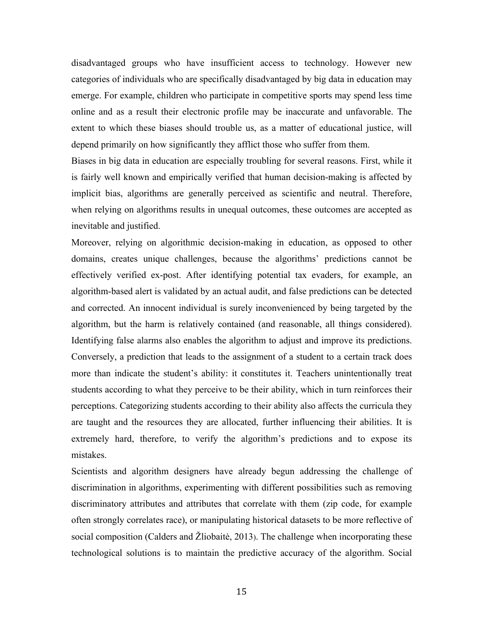disadvantaged groups who have insufficient access to technology. However new categories of individuals who are specifically disadvantaged by big data in education may emerge. For example, children who participate in competitive sports may spend less time online and as a result their electronic profile may be inaccurate and unfavorable. The extent to which these biases should trouble us, as a matter of educational justice, will depend primarily on how significantly they afflict those who suffer from them.

Biases in big data in education are especially troubling for several reasons. First, while it is fairly well known and empirically verified that human decision-making is affected by implicit bias, algorithms are generally perceived as scientific and neutral. Therefore, when relying on algorithms results in unequal outcomes, these outcomes are accepted as inevitable and justified.

Moreover, relying on algorithmic decision-making in education, as opposed to other domains, creates unique challenges, because the algorithms' predictions cannot be effectively verified ex-post. After identifying potential tax evaders, for example, an algorithm-based alert is validated by an actual audit, and false predictions can be detected and corrected. An innocent individual is surely inconvenienced by being targeted by the algorithm, but the harm is relatively contained (and reasonable, all things considered). Identifying false alarms also enables the algorithm to adjust and improve its predictions. Conversely, a prediction that leads to the assignment of a student to a certain track does more than indicate the student's ability: it constitutes it. Teachers unintentionally treat students according to what they perceive to be their ability, which in turn reinforces their perceptions. Categorizing students according to their ability also affects the curricula they are taught and the resources they are allocated, further influencing their abilities. It is extremely hard, therefore, to verify the algorithm's predictions and to expose its mistakes.

Scientists and algorithm designers have already begun addressing the challenge of discrimination in algorithms, experimenting with different possibilities such as removing discriminatory attributes and attributes that correlate with them (zip code, for example often strongly correlates race), or manipulating historical datasets to be more reflective of social composition (Calders and Žliobaitė, 2013). The challenge when incorporating these technological solutions is to maintain the predictive accuracy of the algorithm. Social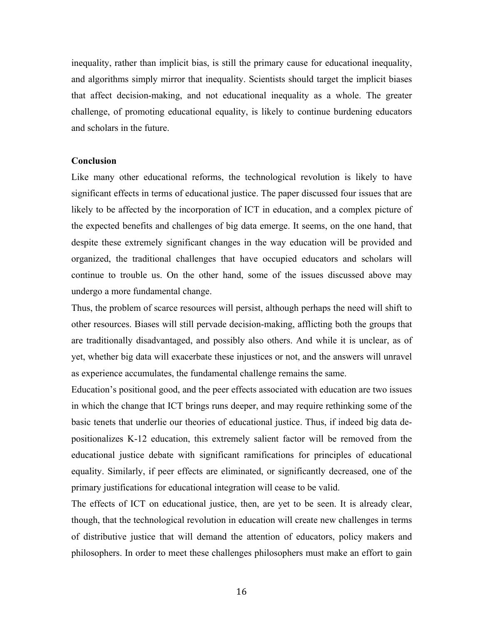inequality, rather than implicit bias, is still the primary cause for educational inequality, and algorithms simply mirror that inequality. Scientists should target the implicit biases that affect decision-making, and not educational inequality as a whole. The greater challenge, of promoting educational equality, is likely to continue burdening educators and scholars in the future.

### **Conclusion**

Like many other educational reforms, the technological revolution is likely to have significant effects in terms of educational justice. The paper discussed four issues that are likely to be affected by the incorporation of ICT in education, and a complex picture of the expected benefits and challenges of big data emerge. It seems, on the one hand, that despite these extremely significant changes in the way education will be provided and organized, the traditional challenges that have occupied educators and scholars will continue to trouble us. On the other hand, some of the issues discussed above may undergo a more fundamental change.

Thus, the problem of scarce resources will persist, although perhaps the need will shift to other resources. Biases will still pervade decision-making, afflicting both the groups that are traditionally disadvantaged, and possibly also others. And while it is unclear, as of yet, whether big data will exacerbate these injustices or not, and the answers will unravel as experience accumulates, the fundamental challenge remains the same.

Education's positional good, and the peer effects associated with education are two issues in which the change that ICT brings runs deeper, and may require rethinking some of the basic tenets that underlie our theories of educational justice. Thus, if indeed big data depositionalizes K-12 education, this extremely salient factor will be removed from the educational justice debate with significant ramifications for principles of educational equality. Similarly, if peer effects are eliminated, or significantly decreased, one of the primary justifications for educational integration will cease to be valid.

The effects of ICT on educational justice, then, are yet to be seen. It is already clear, though, that the technological revolution in education will create new challenges in terms of distributive justice that will demand the attention of educators, policy makers and philosophers. In order to meet these challenges philosophers must make an effort to gain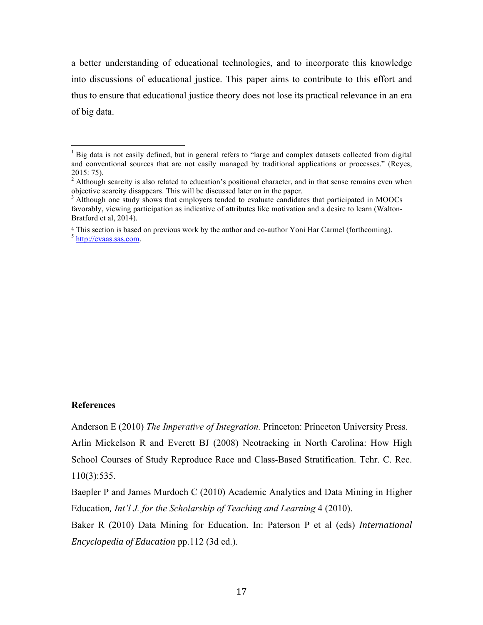a better understanding of educational technologies, and to incorporate this knowledge into discussions of educational justice. This paper aims to contribute to this effort and thus to ensure that educational justice theory does not lose its practical relevance in an era of big data.

# **References**

Anderson E (2010) *The Imperative of Integration.* Princeton: Princeton University Press.

Arlin Mickelson R and Everett BJ (2008) Neotracking in North Carolina: How High School Courses of Study Reproduce Race and Class-Based Stratification. Tchr. C. Rec. 110(3):535.

Baepler P and James Murdoch C (2010) Academic Analytics and Data Mining in Higher Education*, Int'l J. for the Scholarship of Teaching and Learning* 4 (2010).

Baker R (2010) Data Mining for Education. In: Paterson P et al (eds) *International Encyclopedia of Education* pp.112 (3d ed.).

<sup>&</sup>lt;sup>1</sup> Big data is not easily defined, but in general refers to "large and complex datasets collected from digital and conventional sources that are not easily managed by traditional applications or processes." (Reyes, 2015: 75).

<sup>&</sup>lt;sup>2</sup> Although scarcity is also related to education's positional character, and in that sense remains even when objective scarcity disappears. This will be discussed later on in the paper.

 $\beta$  Although one study shows that employers tended to evaluate candidates that participated in MOOCs favorably, viewing participation as indicative of attributes like motivation and a desire to learn (Walton-Bratford et al, 2014).

<sup>4</sup> This section is based on previous work by the author and co-author Yoni Har Carmel (forthcoming). <sup>5</sup> http://evaas.sas.com.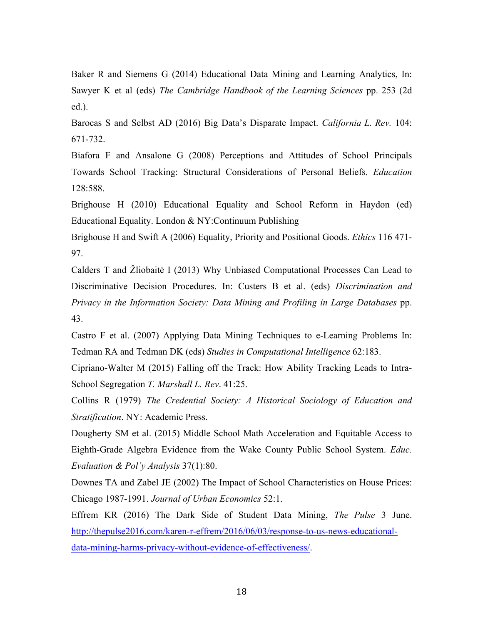Baker R and Siemens G (2014) Educational Data Mining and Learning Analytics, In: Sawyer K et al (eds) *The Cambridge Handbook of the Learning Sciences* pp. 253 (2d ed.).

<u> 1989 - Andrea San Andrea San Andrea San Andrea San Andrea San Andrea San Andrea San Andrea San Andrea San An</u>

Barocas S and Selbst AD (2016) Big Data's Disparate Impact. *California L. Rev.* 104: 671-732.

Biafora F and Ansalone G (2008) Perceptions and Attitudes of School Principals Towards School Tracking: Structural Considerations of Personal Beliefs. *Education* 128:588.

Brighouse H (2010) Educational Equality and School Reform in Haydon (ed) Educational Equality. London & NY:Continuum Publishing

Brighouse H and Swift A (2006) Equality, Priority and Positional Goods. *Ethics* 116 471- 97.

Calders T and Žliobaitė I (2013) Why Unbiased Computational Processes Can Lead to Discriminative Decision Procedures. In: Custers B et al. (eds) *Discrimination and Privacy in the Information Society: Data Mining and Profiling in Large Databases* pp. 43.

Castro F et al. (2007) Applying Data Mining Techniques to e-Learning Problems In: Tedman RA and Tedman DK (eds) *Studies in Computational Intelligence* 62:183.

Cipriano-Walter M (2015) Falling off the Track: How Ability Tracking Leads to Intra-School Segregation *T. Marshall L. Rev*. 41:25.

Collins R (1979) *The Credential Society: A Historical Sociology of Education and Stratification*. NY: Academic Press.

Dougherty SM et al. (2015) Middle School Math Acceleration and Equitable Access to Eighth-Grade Algebra Evidence from the Wake County Public School System. *Educ. Evaluation & Pol'y Analysis* 37(1):80.

Downes TA and Zabel JE (2002) The Impact of School Characteristics on House Prices: Chicago 1987-1991. *Journal of Urban Economics* 52:1.

Effrem KR (2016) The Dark Side of Student Data Mining, *The Pulse* 3 June. http://thepulse2016.com/karen-r-effrem/2016/06/03/response-to-us-news-educationaldata-mining-harms-privacy-without-evidence-of-effectiveness/.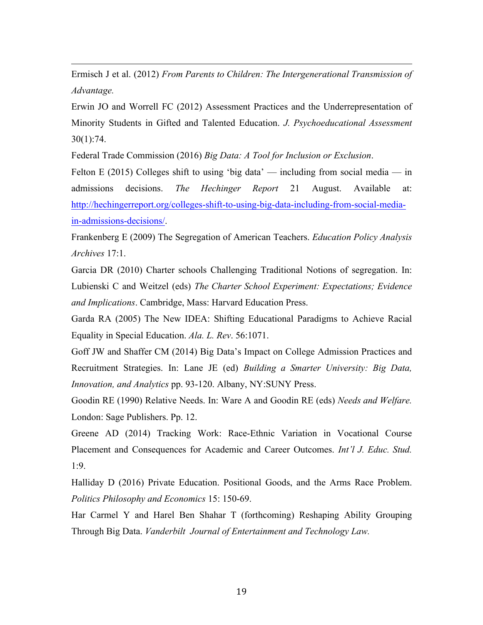Ermisch J et al. (2012) *From Parents to Children: The Intergenerational Transmission of Advantage.*

<u> 1989 - Andrea San Andrea San Andrea San Andrea San Andrea San Andrea San Andrea San Andrea San Andrea San An</u>

Erwin JO and Worrell FC (2012) Assessment Practices and the Underrepresentation of Minority Students in Gifted and Talented Education. *J. Psychoeducational Assessment* 30(1):74.

Federal Trade Commission (2016) *Big Data: A Tool for Inclusion or Exclusion*.

Felton E (2015) Colleges shift to using 'big data' — including from social media — in admissions decisions. *The Hechinger Report* 21 August. Available at: http://hechingerreport.org/colleges-shift-to-using-big-data-including-from-social-mediain-admissions-decisions/.

Frankenberg E (2009) The Segregation of American Teachers. *Education Policy Analysis Archives* 17:1.

Garcia DR (2010) Charter schools Challenging Traditional Notions of segregation. In: Lubienski C and Weitzel (eds) *The Charter School Experiment: Expectations; Evidence and Implications*. Cambridge, Mass: Harvard Education Press.

Garda RA (2005) The New IDEA: Shifting Educational Paradigms to Achieve Racial Equality in Special Education. *Ala. L. Rev*. 56:1071.

Goff JW and Shaffer CM (2014) Big Data's Impact on College Admission Practices and Recruitment Strategies. In: Lane JE (ed) *Building a Smarter University: Big Data, Innovation, and Analytics* pp. 93-120. Albany, NY:SUNY Press.

Goodin RE (1990) Relative Needs. In: Ware A and Goodin RE (eds) *Needs and Welfare.*  London: Sage Publishers. Pp. 12.

Greene AD (2014) Tracking Work: Race-Ethnic Variation in Vocational Course Placement and Consequences for Academic and Career Outcomes. *Int'l J. Educ. Stud.* 1:9.

Halliday D (2016) Private Education. Positional Goods, and the Arms Race Problem. *Politics Philosophy and Economics* 15: 150-69.

Har Carmel Y and Harel Ben Shahar T (forthcoming) Reshaping Ability Grouping Through Big Data. *Vanderbilt Journal of Entertainment and Technology Law.*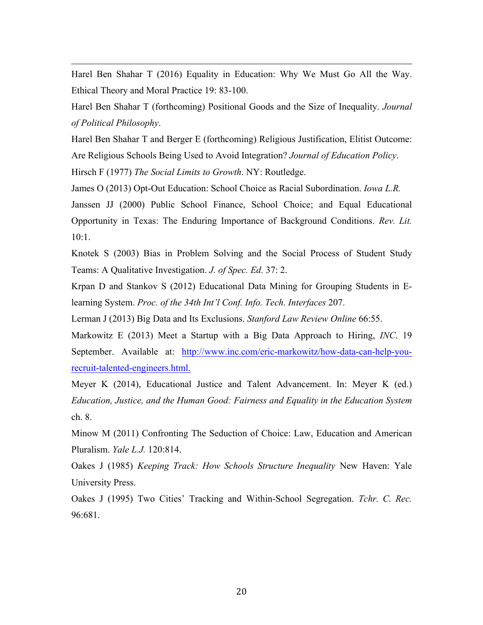Harel Ben Shahar T (2016) Equality in Education: Why We Must Go All the Way. Ethical Theory and Moral Practice 19: 83-100.

<u> 1989 - Andrea San Andrea San Andrea San Andrea San Andrea San Andrea San Andrea San Andrea San Andrea San An</u>

Harel Ben Shahar T (forthcoming) Positional Goods and the Size of Inequality. *Journal of Political Philosophy*.

Harel Ben Shahar T and Berger E (forthcoming) Religious Justification, Elitist Outcome: Are Religious Schools Being Used to Avoid Integration? *Journal of Education Policy*. Hirsch F (1977) *The Social Limits to Growth*. NY: Routledge.

James O (2013) Opt-Out Education: School Choice as Racial Subordination. *Iowa L.R.*

Janssen JJ (2000) Public School Finance, School Choice; and Equal Educational Opportunity in Texas: The Enduring Importance of Background Conditions. *Rev. Lit.* 10:1.

Knotek S (2003) Bias in Problem Solving and the Social Process of Student Study Teams: A Qualitative Investigation. *J. of Spec. Ed.* 37: 2.

Krpan D and Stankov S (2012) Educational Data Mining for Grouping Students in Elearning System. *Proc. of the 34th Int'l Conf. Info. Tech. Interfaces* 207.

Lerman J (2013) Big Data and Its Exclusions. *Stanford Law Review Online* 66:55.

Markowitz E (2013) Meet a Startup with a Big Data Approach to Hiring, *INC*. 19 September. Available at: http://www.inc.com/eric-markowitz/how-data-can-help-yourecruit-talented-engineers.html.

Meyer K (2014), Educational Justice and Talent Advancement. In: Meyer K (ed.) *Education, Justice, and the Human Good: Fairness and Equality in the Education System* ch. 8.

Minow M (2011) Confronting The Seduction of Choice: Law, Education and American Pluralism. *Yale L.J.* 120:814.

Oakes J (1985) *Keeping Track: How Schools Structure Inequality* New Haven: Yale University Press.

Oakes J (1995) Two Cities' Tracking and Within-School Segregation. *Tchr. C. Rec.* 96:681.